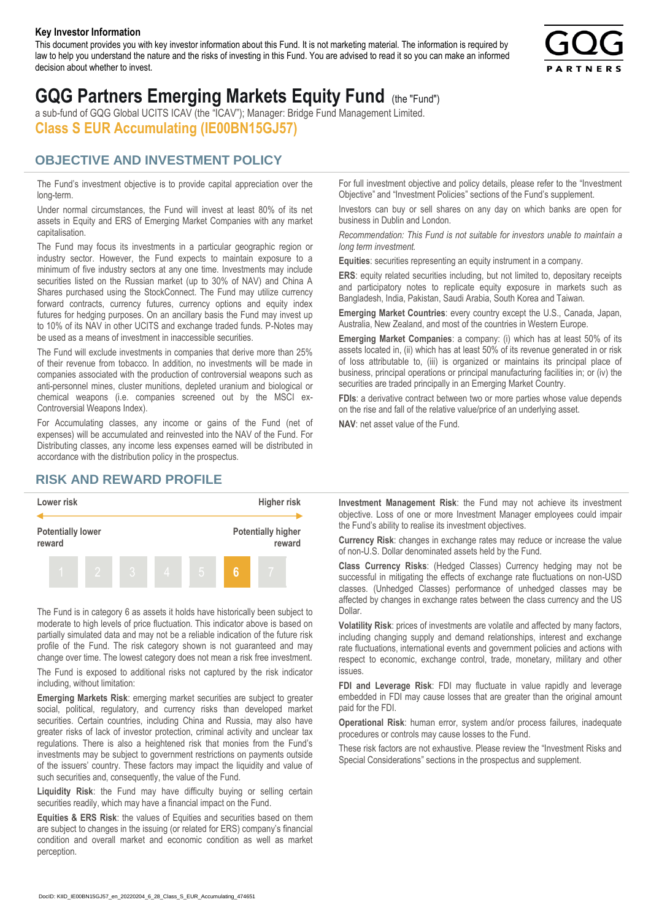#### **Key Investor Information**

This document provides you with key investor information about this Fund. It is not marketing material. The information is required by law to help you understand the nature and the risks of investing in this Fund. You are advised to read it so you can make an informed decision about whether to invest.



# **GQG Partners Emerging Markets Equity Fund** (the "Fund")

a sub-fund of GQG Global UCITS ICAV (the "ICAV"); Manager: Bridge Fund Management Limited. **Class S EUR Accumulating (IE00BN15GJ57)**

#### **OBJECTIVE AND INVESTMENT POLICY**

The Fund's investment objective is to provide capital appreciation over the long-term.

Under normal circumstances, the Fund will invest at least 80% of its net assets in Equity and ERS of Emerging Market Companies with any market capitalisation.

The Fund may focus its investments in a particular geographic region or industry sector. However, the Fund expects to maintain exposure to a minimum of five industry sectors at any one time. Investments may include securities listed on the Russian market (up to 30% of NAV) and China A Shares purchased using the StockConnect. The Fund may utilize currency forward contracts, currency futures, currency options and equity index futures for hedging purposes. On an ancillary basis the Fund may invest up to 10% of its NAV in other UCITS and exchange traded funds. P-Notes may be used as a means of investment in inaccessible securities.

The Fund will exclude investments in companies that derive more than 25% of their revenue from tobacco. In addition, no investments will be made in companies associated with the production of controversial weapons such as anti-personnel mines, cluster munitions, depleted uranium and biological or chemical weapons (i.e. companies screened out by the MSCI ex-Controversial Weapons Index).

For Accumulating classes, any income or gains of the Fund (net of expenses) will be accumulated and reinvested into the NAV of the Fund. For Distributing classes, any income less expenses earned will be distributed in accordance with the distribution policy in the prospectus.

### **RISK AND REWARD PROFILE**



The Fund is in category 6 as assets it holds have historically been subject to moderate to high levels of price fluctuation. This indicator above is based on partially simulated data and may not be a reliable indication of the future risk profile of the Fund. The risk category shown is not guaranteed and may change over time. The lowest category does not mean a risk free investment.

The Fund is exposed to additional risks not captured by the risk indicator including, without limitation:

**Emerging Markets Risk**: emerging market securities are subject to greater social, political, regulatory, and currency risks than developed market securities. Certain countries, including China and Russia, may also have greater risks of lack of investor protection, criminal activity and unclear tax regulations. There is also a heightened risk that monies from the Fund's investments may be subject to government restrictions on payments outside of the issuers' country. These factors may impact the liquidity and value of such securities and, consequently, the value of the Fund.

**Liquidity Risk**: the Fund may have difficulty buying or selling certain securities readily, which may have a financial impact on the Fund.

**Equities & ERS Risk**: the values of Equities and securities based on them are subject to changes in the issuing (or related for ERS) company's financial condition and overall market and economic condition as well as market perception.

For full investment objective and policy details, please refer to the "Investment Objective" and "Investment Policies" sections of the Fund's supplement.

Investors can buy or sell shares on any day on which banks are open for business in Dublin and London.

*Recommendation: This Fund is not suitable for investors unable to maintain a long term investment.*

**Equities**: securities representing an equity instrument in a company.

**ERS:** equity related securities including, but not limited to, depositary receipts and participatory notes to replicate equity exposure in markets such as Bangladesh, India, Pakistan, Saudi Arabia, South Korea and Taiwan.

**Emerging Market Countries**: every country except the U.S., Canada, Japan, Australia, New Zealand, and most of the countries in Western Europe.

**Emerging Market Companies**: a company: (i) which has at least 50% of its assets located in, (ii) which has at least 50% of its revenue generated in or risk of loss attributable to, (iii) is organized or maintains its principal place of business, principal operations or principal manufacturing facilities in; or (iv) the securities are traded principally in an Emerging Market Country.

**FDIs**: a derivative contract between two or more parties whose value depends on the rise and fall of the relative value/price of an underlying asset.

**NAV**: net asset value of the Fund.

**Investment Management Risk**: the Fund may not achieve its investment objective. Loss of one or more Investment Manager employees could impair the Fund's ability to realise its investment objectives.

**Currency Risk**: changes in exchange rates may reduce or increase the value of non-U.S. Dollar denominated assets held by the Fund.

**Class Currency Risks**: (Hedged Classes) Currency hedging may not be successful in mitigating the effects of exchange rate fluctuations on non-USD classes. (Unhedged Classes) performance of unhedged classes may be affected by changes in exchange rates between the class currency and the US Dollar.

**Volatility Risk**: prices of investments are volatile and affected by many factors, including changing supply and demand relationships, interest and exchange rate fluctuations, international events and government policies and actions with respect to economic, exchange control, trade, monetary, military and other issues.

**FDI and Leverage Risk**: FDI may fluctuate in value rapidly and leverage embedded in FDI may cause losses that are greater than the original amount paid for the FDI.

**Operational Risk**: human error, system and/or process failures, inadequate procedures or controls may cause losses to the Fund.

These risk factors are not exhaustive. Please review the "Investment Risks and Special Considerations" sections in the prospectus and supplement.